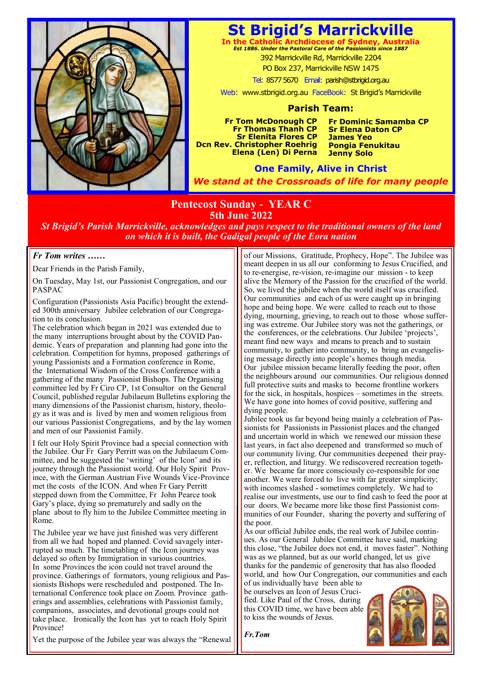

# **St Brigid's Marrickville**

**In the Catholic Archdiocese of Sydney, Australia** *Est 1886. Under the Pastoral Care of the Passionists since 1887* 392 Marrickville Rd, Marrickville 2204 PO Box 237, Marrickville NSW 1475

Tel: 8577 5670 Email: parish@stbrigid.org.au

Web: www.stbrigid.org.au FaceBook: St Brigid's Marrickville

### **Parish Team:**

**Fr Tom McDonough CP Fr Thomas Thanh CP Sr Elenita Flores CP Dcn Rev. Christopher Roehrig Elena (Len) Di Perna**  **Fr Dominic Samamba CP Sr Elena Daton CP James Yeo Pongia Fenukitau Jenny Solo**

**One Family, Alive in Christ** *We stand at the Crossroads of life for many people*

## **Pentecost Sunday - YEAR C 5th June 2022**

*St Brigid's Parish Marrickville, acknowledges and pays respect to the traditional owners of the land on which it is built, the Gadigal people of the Eora nation*

### *Fr Tom writes ……*

Dear Friends in the Parish Family,

On Tuesday, May 1st, our Passionist Congregation, and our PASPAC

Configuration (Passionists Asia Pacific) brought the extended 300th anniversary Jubilee celebration of our Congregation to its conclusion.

The celebration which began in 2021 was extended due to the many interruptions brought about by the COVID Pandemic. Years of preparation and planning had gone into the celebration. Competition for hymns, proposed gatherings of young Passionists and a Formation conference in Rome, the International Wisdom of the Cross Conference with a gathering of the many Passionist Bishops. The Organising committee led by Fr Ciro CP, 1st Consultor on the General Council, published regular Jubilaeum Bulletins exploring the many dimensions of the Passionist charism, history, theology as it was and is lived by men and women religious from our various Passionist Congregations, and by the lay women and men of our Passionist Family.

I felt our Holy Spirit Province had a special connection with the Jubilee. Our Fr Gary Perritt was on the Jubilaeum Committee, and he suggested the 'writing' of the Icon' and its journey through the Passionist world. Our Holy Spirit Province, with the German Austrian Five Wounds Vice-Province met the costs of the ICON. And when Fr Gary Perritt stepped down from the Committee, Fr John Pearce took Gary's place, dying so prematurely and sadly on the plane about to fly him to the Jubilee Committee meeting in Rome.

The Jubilee year we have just finished was very different from all we had hoped and planned. Covid savagely interrupted so much. The timetabling of the Icon journey was delayed so often by Immigration in various countries. In some Provinces the icon could not travel around the province. Gatherings of formators, young religious and Passionists Bishops were rescheduled and postponed. The International Conference took place on Zoom. Province gatherings and assemblies, celebrations with Passionist family, companions, associates, and devotional groups could not take place. Ironically the Icon has yet to reach Holy Spirit Province!

of our Missions, Gratitude, Prophecy, Hope". The Jubilee was meant deepen in us all our conforming to Jesus Crucified, and to re-energise, re-vision, re-imagine our mission - to keep alive the Memory of the Passion for the crucified of the world. So, we lived the jubilee when the world itself was crucified. Our communities and each of us were caught up in bringing hope and being hope. We were called to reach out to those dying, mourning, grieving, to reach out to those whose suffering was extreme. Our Jubilee story was not the gatherings, or the conferences, or the celebrations. Our Jubilee 'projects', meant find new ways and means to preach and to sustain community, to gather into community, to bring an evangelising message directly into people's homes though media. Our jubilee mission became literally feeding the poor, often the neighbours around our communities. Our religious donned full protective suits and masks to become frontline workers for the sick, in hospitals, hospices – sometimes in the streets. We have gone into homes of covid positive, suffering and dying people.

Jubilee took us far beyond being mainly a celebration of Passionists for Passionists in Passionist places and the changed and uncertain world in which we renewed our mission these last years, in fact also deepened and transformed so much of our community living. Our communities deepened their prayer, reflection, and liturgy. We rediscovered recreation together. We became far more consciously co-responsible for one another. We were forced to live with far greater simplicity; with incomes slashed - sometimes completely. We had to realise our investments, use our to find cash to feed the poor at our doors. We became more like those first Passionist communities of our Founder, sharing the poverty and suffering of the poor.

As our official Jubilee ends, the real work of Jubilee continues. As our General Jubilee Committee have said, marking this close, "the Jubilee does not end, it moves faster". Nothing was as we planned, but as our world changed, let us give thanks for the pandemic of generosity that has also flooded world, and how Our Congregation, our communities and each

of us individually have been able to be ourselves an Icon of Jesus Crucified. Like Paul of the Cross, during this COVID time, we have been able to kiss the wounds of Jesus.



*Fr.Tom*

Yet the purpose of the Jubilee year was always the "Renewal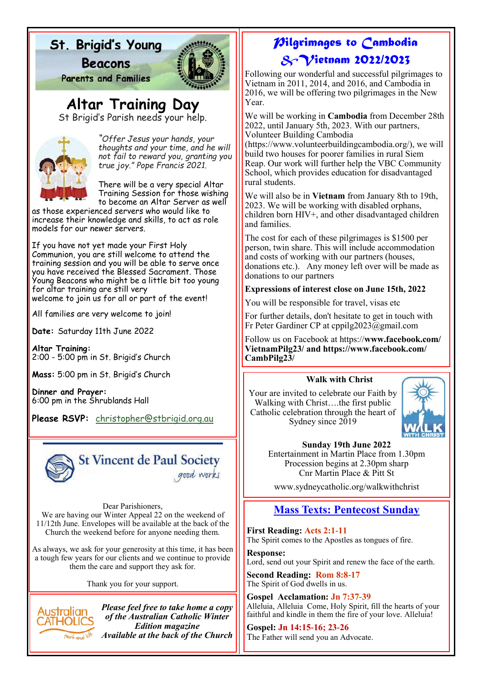# St. Brigid's Young

**Beacons** 



**Parents and Families** 

**Altar Training Day**

St Brigid's Parish needs your help.



*"Offer Jesus your hands, your thoughts and your time, and he will not fail to reward you, granting you true joy." Pope Francis 2021.*

There will be a very special Altar Training Session for those wishing to become an Altar Server as well

as those experienced servers who would like to increase their knowledge and skills, to act as role models for our newer servers.

If you have not yet made your First Holy Communion, you are still welcome to attend the training session and you will be able to serve once you have received the Blessed Sacrament. Those Young Beacons who might be a little bit too young for altar training are still very welcome to join us for all or part of the event!

All families are very welcome to join!

**Date:** Saturday 11th June 2022

**Altar Training:** 2:00 - 5:00 pm in St. Brigid's Church

**Mass:** 5:00 pm in St. Brigid's Church

**Dinner and Prayer:** 6:00 pm in the Shrublands Hall

**Please RSVP:** [christopher@stbrigid.org.au](mailto:christopher@stbrigid.org.au)



Dear Parishioners,

We are having our Winter Appeal 22 on the weekend of 11/12th June. Envelopes will be available at the back of the Church the weekend before for anyone needing them.

As always, we ask for your generosity at this time, it has been a tough few years for our clients and we continue to provide them the care and support they ask for.

Thank you for your support.



*Please feel free to take home a copy of the Australian Catholic Winter Edition magazine Available at the back of the Church*

## *Pilgrimages to Cambodia &Vietnam 2022/2023*

Following our wonderful and successful pilgrimages to Vietnam in 2011, 2014, and 2016, and Cambodia in 2016, we will be offering two pilgrimages in the New Year.

We will be working in **Cambodia** from December 28th 2022, until January 5th, 2023. With our partners, Volunteer Building Cambodia

(https://www.volunteerbuildingcambodia.org/), we will build two houses for poorer families in rural Siem Reap. Our work will further help the VBC Community School, which provides education for disadvantaged rural students.

We will also be in **Vietnam** from January 8th to 19th, 2023. We will be working with disabled orphans, children born HIV+, and other disadvantaged children and families.

The cost for each of these pilgrimages is \$1500 per person, twin share. This will include accommodation and costs of working with our partners (houses, donations etc.). Any money left over will be made as donations to our partners

### **Expressions of interest close on June 15th, 2022**

You will be responsible for travel, visas etc

For further details, don't hesitate to get in touch with Fr Peter Gardiner CP at cppilg2023@gmail.com

Follow us on Facebook at https://**www.facebook.com/ VietnamPilg23/ and https://www.facebook.com/ CambPilg23/** 

## **Walk with Christ**

Your are invited to celebrate our Faith by Walking with Christ….the first public Catholic celebration through the heart of Sydney since 2019



**Sunday 19th June 2022**

Entertainment in Martin Place from 1.30pm Procession begins at 2.30pm sharp Cnr Martin Place & Pitt St

www.sydneycatholic.org/walkwithchrist

## **Mass Texts: Pentecost Sunday**

**First Reading: Acts 2:1-11**  The Spirit comes to the Apostles as tongues of fire.

**Response:**  Lord, send out your Spirit and renew the face of the earth.

**Second Reading: Rom 8:8-17** The Spirit of God dwells in us.

**Gospel Acclamation: Jn 7:37-39** Alleluia, Alleluia Come, Holy Spirit, fill the hearts of your faithful and kindle in them the fire of your love. Alleluia!

**Gospel: Jn 14:15-16; 23-26**  The Father will send you an Advocate.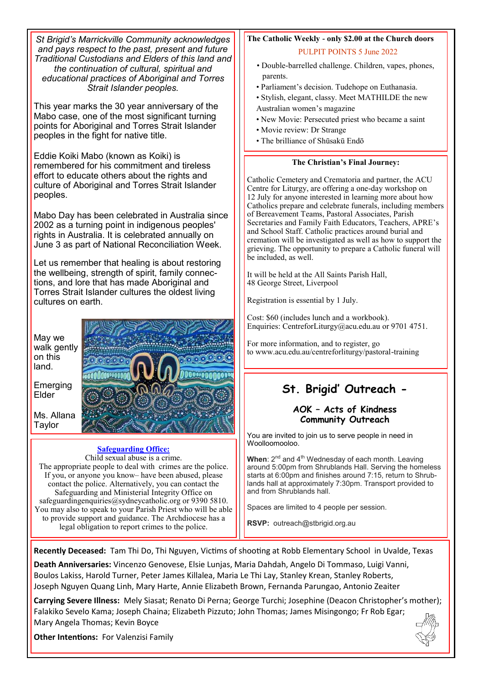| St Brigid's Marrickville Community acknowledges            | The Catholic Weekly - only \$2.00 at the Church doors        |
|------------------------------------------------------------|--------------------------------------------------------------|
| and pays respect to the past, present and future           | <b>PULPIT POINTS 5 June 2022</b>                             |
| Traditional Custodians and Elders of this land and         | · Double-barrelled challenge. Children, vapes, phones,       |
| the continuation of cultural, spiritual and                | parents.                                                     |
| educational practices of Aboriginal and Torres             | · Parliament's decision. Tudehope on Euthanasia.             |
| Strait Islander peoples.                                   | · Stylish, elegant, classy. Meet MATHILDE the new            |
| This year marks the 30 year anniversary of the             | Australian women's magazine                                  |
| Mabo case, one of the most significant turning             | • New Movie: Persecuted priest who became a saint            |
| points for Aboriginal and Torres Strait Islander           | • Movie review: Dr Strange                                   |
| peoples in the fight for native title.                     | · The brilliance of Shūsakū Endō                             |
| Eddie Koiki Mabo (known as Koiki) is                       | The Christian's Final Journey:                               |
| remembered for his commitment and tireless                 | Catholic Cemetery and Crematoria and partner, the ACU        |
| effort to educate others about the rights and              | Centre for Liturgy, are offering a one-day workshop on       |
| culture of Aboriginal and Torres Strait Islander           | 12 July for anyone interested in learning more about how     |
| peoples.                                                   | Catholics prepare and celebrate funerals, including members  |
| Mabo Day has been celebrated in Australia since            | of Bereavement Teams, Pastoral Associates, Parish            |
| 2002 as a turning point in indigenous peoples'             | Secretaries and Family Faith Educators, Teachers, APRE's     |
| rights in Australia. It is celebrated annually on          | and School Staff. Catholic practices around burial and       |
| June 3 as part of National Reconciliation Week.            | cremation will be investigated as well as how to support the |
| Let us remember that healing is about restoring            | grieving. The opportunity to prepare a Catholic funeral will |
| the wellbeing, strength of spirit, family connec-          | be included, as well.                                        |
| tions, and lore that has made Aboriginal and               | It will be held at the All Saints Parish Hall,               |
| Torres Strait Islander cultures the oldest living          | 48 George Street, Liverpool                                  |
| cultures on earth.                                         | Registration is essential by 1 July.                         |
| May we                                                     | Cost: \$60 (includes lunch and a workbook).                  |
| walk gently                                                | Enquiries: CentreforLiturgy@acu.edu.au or 9701 4751.         |
| on this                                                    | For more information, and to register, go                    |
| land.                                                      | to www.acu.edu.au/centreforliturgy/pastoral-training         |
| Emerging                                                   | St. Brigid' Outreach -                                       |
| Elder                                                      | AOK - Acts of Kindness                                       |
| Ms. Allana                                                 | <b>Community Outreach</b>                                    |
| Taylor                                                     | You are invited to join us to serve people in need in        |
| <b>Safeguarding Office:</b>                                | Woolloomooloo.                                               |
| Child sexual abuse is a crime.                             | When: $2^{nd}$ and $4^{th}$ Wednesday of each month. Leaving |
| The appropriate people to deal with crimes are the police. | around 5:00pm from Shrublands Hall. Serving the homeless     |
| If you, or anyone you know- have been abused, please       | starts at 6:00pm and finishes around 7:15, return to Shrub-  |

If you, or anyone you know– have been abused, please contact the police. Alternatively, you can contact the Safeguarding and Ministerial Integrity Office on safeguardingenquiries@sydneycatholic.org or 9390 5810. You may also to speak to your Parish Priest who will be able to provide support and guidance. The Archdiocese has a legal obligation to report crimes to the police.

Spaces are limited to 4 people per session.

lands hall at approximately 7:30pm. Transport provided to

**RSVP:** outreach@stbrigid.org.au

and from Shrublands hall.

**Recently Deceased:** Tam Thi Do, Thi Nguyen, Victims of shooting at Robb Elementary School in Uvalde, Texas

**Death Anniversaries:** Vincenzo Genovese, Elsie Lunjas, Maria Dahdah, Angelo Di Tommaso, Luigi Vanni, Boulos Lakiss, Harold Turner, Peter James Killalea, Maria Le Thi Lay, Stanley Krean, Stanley Roberts, Joseph Nguyen Quang Linh, Mary Harte, Annie Elizabeth Brown, Fernanda Parungao, Antonio Zeaiter

**Carrying Severe Illness:** Mely Siasat; Renato Di Perna; George Turchi; Josephine (Deacon Christopher's mother); Falakiko Sevelo Kama; Joseph Chaina; Elizabeth Pizzuto; John Thomas; James Misingongo; Fr Rob Egar; Mary Angela Thomas; Kevin Boyce

**Other Intentions:** For Valenzisi Family